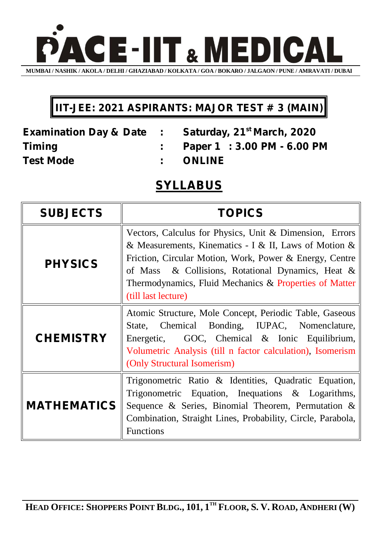

## **IIT-JEE: 2021 ASPIRANTS: MAJOR TEST # 3 (MAIN)**

**Test Mode : ONLINE**

**Examination Day & Date : Saturday, 21st March, 2020 Timing : Paper 1 : 3.00 PM - 6.00 PM**

**SYLLABUS**

| <b>SUBJECTS</b>    | <b>TOPICS</b>                                                                                                                                                                                                                                                                                                     |
|--------------------|-------------------------------------------------------------------------------------------------------------------------------------------------------------------------------------------------------------------------------------------------------------------------------------------------------------------|
| <b>PHYSICS</b>     | Vectors, Calculus for Physics, Unit & Dimension, Errors<br>& Measurements, Kinematics - I & II, Laws of Motion &<br>Friction, Circular Motion, Work, Power & Energy, Centre<br>of Mass & Collisions, Rotational Dynamics, Heat &<br>Thermodynamics, Fluid Mechanics & Properties of Matter<br>(till last lecture) |
| <b>CHEMISTRY</b>   | Atomic Structure, Mole Concept, Periodic Table, Gaseous<br>State, Chemical Bonding, IUPAC, Nomenclature,<br>GOC, Chemical & Ionic Equilibrium,<br>Energetic,<br>Volumetric Analysis (till n factor calculation), Isomerism<br>(Only Structural Isomerism)                                                         |
| <b>MATHEMATICS</b> | Trigonometric Ratio & Identities, Quadratic Equation,<br>Trigonometric Equation, Inequations $\&$ Logarithms,<br>Sequence & Series, Binomial Theorem, Permutation $\&$<br>Combination, Straight Lines, Probability, Circle, Parabola,<br><b>Functions</b>                                                         |